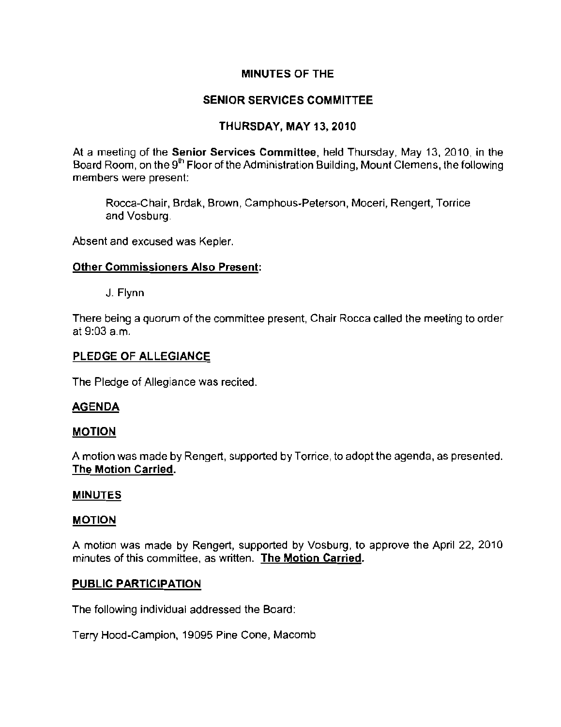## MINUTES OF THE

# SENIOR SERVICES COMMITTEE

# THURSDAY, MAY 13, 2010

At a meeting of the Senior Services Committee, held Thursday, May 13, 2010, in the Board Room, on the 9<sup>th</sup> Floor of the Administration Building, Mount Clemens, the following **members were present:** 

**Rocca-Chair, Brdak, Brown, Camphous-Peterson, Moceri, Rengert, Torriee**  and Vosburg.

**Absent and excused was Kepler.** 

## **Other Commissioners Also Present:**

J. Flynn

There being a quorum of the committee present, Chair Rocca called the meeting to order at 9:03 am.

### PLEDGE OF ALLEGIANCE

The Pledge of Allegiance was recited.

## AGENDA

#### MOTION

A motion was made by Rengert, supported by Torrice, to adopt the agenda, as presented. The Motion Carried.

#### **MINUTES**

#### MOTION

A motion was made by Rengert, supported by Vosburg, to approve the April 22, 2010 **minutes of this committee, as written. The Motion Carried.** 

## PUBLIC PARTICIPATION

The following individual addressed the Board:

Terry Hood-Campion, 19095 Pine Cone, Macomb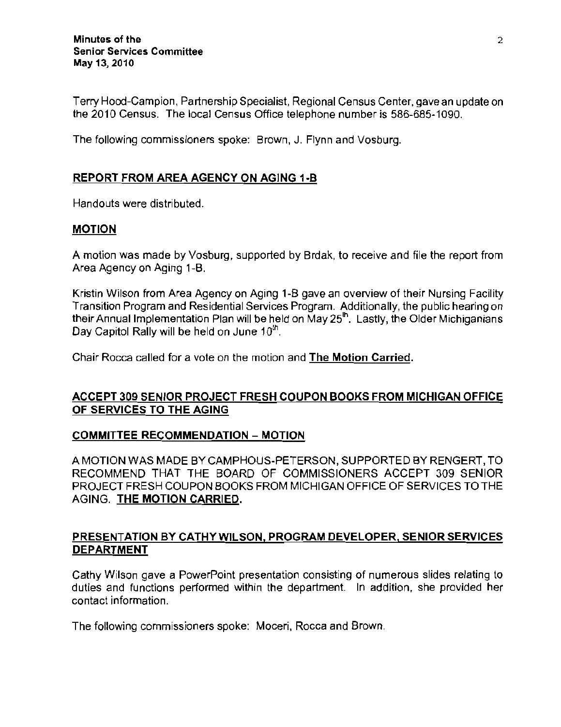Terry Hood-Campion, Partnership Specialist, Regional Census Center, gavean update on the 2010 Census. The local Census Office telephone number is 586-685-1090.

The following commissioners spoke: Brown, J. Flynn and Vosburg.

## REPORT FROM AREA AGENCY ON AGING 1-B

Handouts were distributed.

#### MOTION

A motion was made by Vosburg, supported by Brdak, to receive and file the report from Area Agency on Aging 1-B.

Kristin Wilson from Area Agency on Aging 1-B gave an overview of their Nursing Facility Transition Program and Residential Services Program. Additionally, the public hearing on their Annual Implementation Plan will be held on May 25<sup>th</sup>. Lastly, the Older Michiganians Day Capitol Rally will be held on June 10<sup>th</sup>.

Chair Rocca called for a vote on the motion and The Motion Carried,

## ACCEPT 309 SENIOR PROJECT FRESH COUPON BOOKS FROM MICHIGAN OFFICE OF SERVICES TO THE AGING

## COMMITTEE RECOMMENDATION - MOTION

A MOTION WAS MADE BY CAMPHOUS-PETERSON, SUPPORTED BY RENGERT, TO RECOMMEND THAT THE BOARD OF COMMISSIONERS ACCEPT 309 SENIOR PROJECT FRESH COUPON BOOKS FROM MICHIGAN OFFICE OF SERVICES TO THE AGING. THE MOTION CARRIED,

## PRESENTATION BY CATHY WILSON, PROGRAM DEVELOPER, SENIOR SERVICES DEPARTMENT

Cathy Wilson gave a PowerPoint presentation consisting of numerous slides relating to duties and functions performed within the department. In addition, she provided her contact information.

The following commissioners spoke: Moceri, Rocca and Brown.